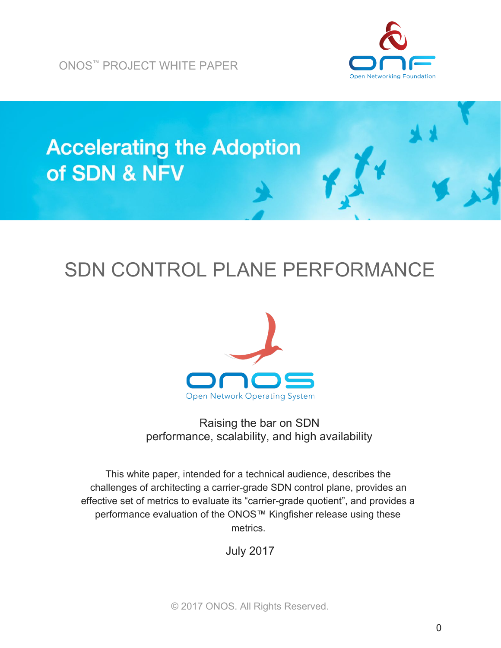ONOS ™ PROJECT WHITE PAPER





# SDN CONTROL PLANE PERFORMANCE



Raising the bar on SDN performance, scalability, and high availability

This white paper, intended for a technical audience, describes the challenges of architecting a carrier-grade SDN control plane, provides an effective set of metrics to evaluate its "carrier-grade quotient", and provides a performance evaluation of the ONOS™ Kingfisher release using these metrics.

July 2017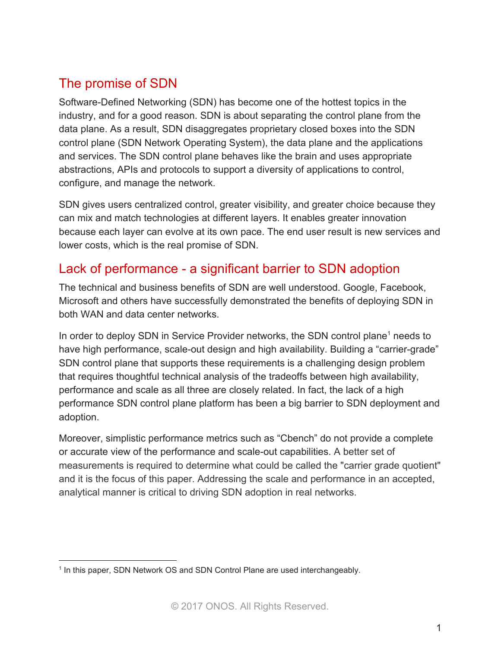# The promise of SDN

Software-Defined Networking (SDN) has become one of the hottest topics in the industry, and for a good reason. SDN is about separating the control plane from the data plane. As a result, SDN disaggregates proprietary closed boxes into the SDN control plane (SDN Network Operating System), the data plane and the applications and services. The SDN control plane behaves like the brain and uses appropriate abstractions, APIs and protocols to support a diversity of applications to control, configure, and manage the network.

SDN gives users centralized control, greater visibility, and greater choice because they can mix and match technologies at different layers. It enables greater innovation because each layer can evolve at its own pace. The end user result is new services and lower costs, which is the real promise of SDN.

# Lack of performance - a significant barrier to SDN adoption

The technical and business benefits of SDN are well understood. Google, Facebook, Microsoft and others have successfully demonstrated the benefits of deploying SDN in both WAN and data center networks.

In order to deploy SDN in Service Provider networks, the SDN control plane<sup>1</sup> needs to have high performance, scale-out design and high availability. Building a "carrier-grade" SDN control plane that supports these requirements is a challenging design problem that requires thoughtful technical analysis of the tradeoffs between high availability, performance and scale as all three are closely related. In fact, the lack of a high performance SDN control plane platform has been a big barrier to SDN deployment and adoption.

Moreover, simplistic performance metrics such as "Cbench" do not provide a complete or accurate view of the performance and scale-out capabilities. A better set of measurements is required to determine what could be called the "carrier grade quotient" and it is the focus of this paper. Addressing the scale and performance in an accepted, analytical manner is critical to driving SDN adoption in real networks.

<sup>&</sup>lt;sup>1</sup> In this paper, SDN Network OS and SDN Control Plane are used interchangeably.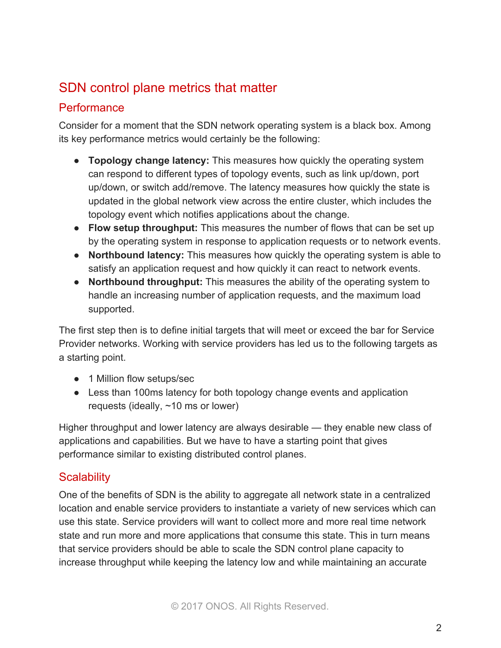# SDN control plane metrics that matter

## **Performance**

Consider for a moment that the SDN network operating system is a black box. Among its key performance metrics would certainly be the following:

- **Topology change latency:** This measures how quickly the operating system can respond to different types of topology events, such as link up/down, port up/down, or switch add/remove. The latency measures how quickly the state is updated in the global network view across the entire cluster, which includes the topology event which notifies applications about the change.
- **Flow setup throughput:** This measures the number of flows that can be set up by the operating system in response to application requests or to network events.
- **Northbound latency:** This measures how quickly the operating system is able to satisfy an application request and how quickly it can react to network events.
- **Northbound throughput:** This measures the ability of the operating system to handle an increasing number of application requests, and the maximum load supported.

The first step then is to define initial targets that will meet or exceed the bar for Service Provider networks. Working with service providers has led us to the following targets as a starting point.

- 1 Million flow setups/sec
- Less than 100ms latency for both topology change events and application requests (ideally, ~10 ms or lower)

Higher throughput and lower latency are always desirable — they enable new class of applications and capabilities. But we have to have a starting point that gives performance similar to existing distributed control planes.

# **Scalability**

One of the benefits of SDN is the ability to aggregate all network state in a centralized location and enable service providers to instantiate a variety of new services which can use this state. Service providers will want to collect more and more real time network state and run more and more applications that consume this state. This in turn means that service providers should be able to scale the SDN control plane capacity to increase throughput while keeping the latency low and while maintaining an accurate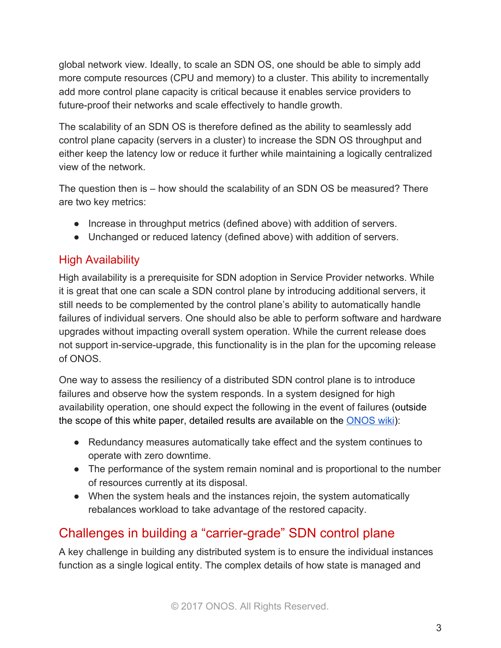global network view. Ideally, to scale an SDN OS, one should be able to simply add more compute resources (CPU and memory) to a cluster. This ability to incrementally add more control plane capacity is critical because it enables service providers to future-proof their networks and scale effectively to handle growth.

The scalability of an SDN OS is therefore defined as the ability to seamlessly add control plane capacity (servers in a cluster) to increase the SDN OS throughput and either keep the latency low or reduce it further while maintaining a logically centralized view of the network.

The question then is – how should the scalability of an SDN OS be measured? There are two key metrics:

- Increase in throughput metrics (defined above) with addition of servers.
- Unchanged or reduced latency (defined above) with addition of servers.

# High Availability

High availability is a prerequisite for SDN adoption in Service Provider networks. While it is great that one can scale a SDN control plane by introducing additional servers, it still needs to be complemented by the control plane's ability to automatically handle failures of individual servers. One should also be able to perform software and hardware upgrades without impacting overall system operation. While the current release does not support in-service-upgrade, this functionality is in the plan for the upcoming release of ONOS.

One way to assess the resiliency of a distributed SDN control plane is to introduce failures and observe how the system responds. In a system designed for high availability operation, one should expect the following in the event of failures (outside the scope of this white paper, detailed results are available on the **ONOS** wiki):

- Redundancy measures automatically take effect and the system continues to operate with zero downtime.
- The performance of the system remain nominal and is proportional to the number of resources currently at its disposal.
- When the system heals and the instances rejoin, the system automatically rebalances workload to take advantage of the restored capacity.

# Challenges in building a "carrier-grade" SDN control plane

A key challenge in building any distributed system is to ensure the individual instances function as a single logical entity. The complex details of how state is managed and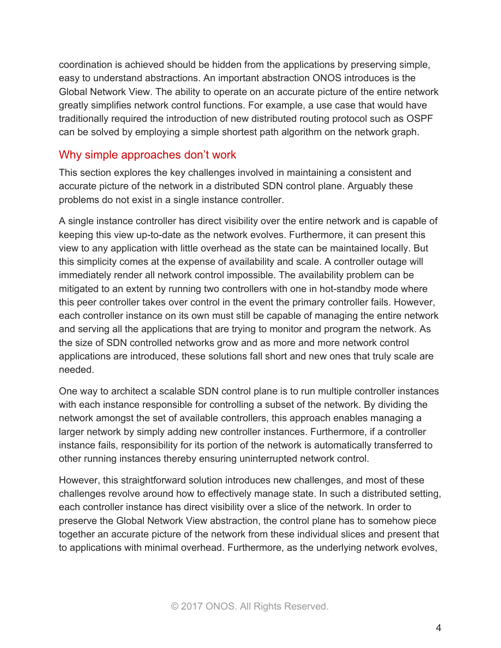coordination is achieved should be hidden from the applications by preserving simple, easy to understand abstractions. An important abstraction ONOS introduces is the Global Network View. The ability to operate on an accurate picture of the entire network greatly simplifies network control functions. For example, a use case that would have traditionally required the introduction of new distributed routing protocol such as OSPF can be solved by employing a simple shortest path algorithm on the network graph.

## Why simple approaches don't work

This section explores the key challenges involved in maintaining a consistent and accurate picture of the network in a distributed SDN control plane. Arguably these problems do not exist in a single instance controller.

A single instance controller has direct visibility over the entire network and is capable of keeping this view up-to-date as the network evolves. Furthermore, it can present this view to any application with little overhead as the state can be maintained locally. But this simplicity comes at the expense of availability and scale. A controller outage will immediately render all network control impossible. The availability problem can be mitigated to an extent by running two controllers with one in hot-standby mode where this peer controller takes over control in the event the primary controller fails. However, each controller instance on its own must still be capable of managing the entire network and serving all the applications that are trying to monitor and program the network. As the size of SDN controlled networks grow and as more and more network control applications are introduced, these solutions fall short and new ones that truly scale are needed.

One way to architect a scalable SDN control plane is to run multiple controller instances with each instance responsible for controlling a subset of the network. By dividing the network amongst the set of available controllers, this approach enables managing a larger network by simply adding new controller instances. Furthermore, if a controller instance fails, responsibility for its portion of the network is automatically transferred to other running instances thereby ensuring uninterrupted network control.

However, this straightforward solution introduces new challenges, and most of these challenges revolve around how to effectively manage state. In such a distributed setting, each controller instance has direct visibility over a slice of the network. In order to preserve the Global Network View abstraction, the control plane has to somehow piece together an accurate picture of the network from these individual slices and present that to applications with minimal overhead. Furthermore, as the underlying network evolves,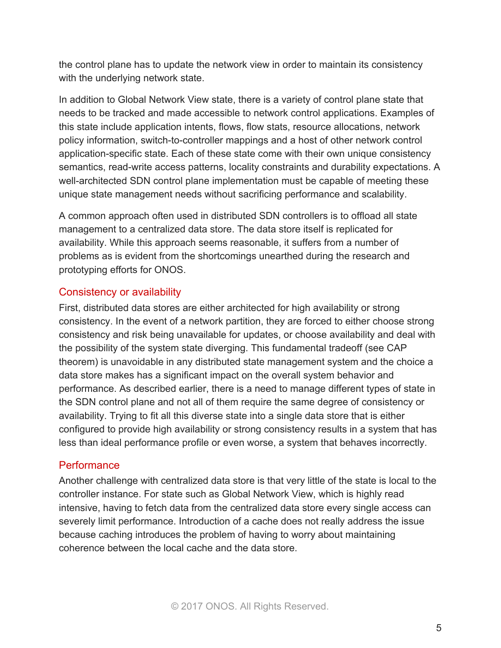the control plane has to update the network view in order to maintain its consistency with the underlying network state.

In addition to Global Network View state, there is a variety of control plane state that needs to be tracked and made accessible to network control applications. Examples of this state include application intents, flows, flow stats, resource allocations, network policy information, switch-to-controller mappings and a host of other network control application-specific state. Each of these state come with their own unique consistency semantics, read-write access patterns, locality constraints and durability expectations. A well-architected SDN control plane implementation must be capable of meeting these unique state management needs without sacrificing performance and scalability.

A common approach often used in distributed SDN controllers is to offload all state management to a centralized data store. The data store itself is replicated for availability. While this approach seems reasonable, it suffers from a number of problems as is evident from the shortcomings unearthed during the research and prototyping efforts for ONOS.

#### Consistency or availability

First, distributed data stores are either architected for high availability or strong consistency. In the event of a network partition, they are forced to either choose strong consistency and risk being unavailable for updates, or choose availability and deal with the possibility of the system state diverging. This fundamental tradeoff (see CAP theorem) is unavoidable in any distributed state management system and the choice a data store makes has a significant impact on the overall system behavior and performance. As described earlier, there is a need to manage different types of state in the SDN control plane and not all of them require the same degree of consistency or availability. Trying to fit all this diverse state into a single data store that is either configured to provide high availability or strong consistency results in a system that has less than ideal performance profile or even worse, a system that behaves incorrectly.

#### **Performance**

Another challenge with centralized data store is that very little of the state is local to the controller instance. For state such as Global Network View, which is highly read intensive, having to fetch data from the centralized data store every single access can severely limit performance. Introduction of a cache does not really address the issue because caching introduces the problem of having to worry about maintaining coherence between the local cache and the data store.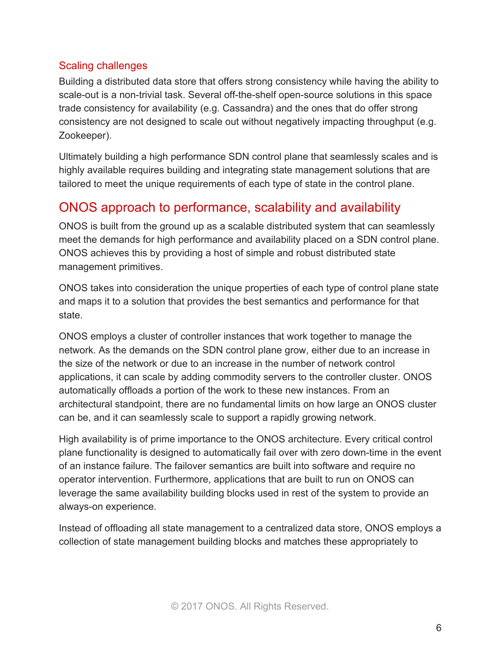#### Scaling challenges

Building a distributed data store that offers strong consistency while having the ability to scale-out is a non-trivial task. Several off-the-shelf open-source solutions in this space trade consistency for availability (e.g. Cassandra) and the ones that do offer strong consistency are not designed to scale out without negatively impacting throughput (e.g. Zookeeper).

Ultimately building a high performance SDN control plane that seamlessly scales and is highly available requires building and integrating state management solutions that are tailored to meet the unique requirements of each type of state in the control plane.

# ONOS approach to performance, scalability and availability

ONOS is built from the ground up as a scalable distributed system that can seamlessly meet the demands for high performance and availability placed on a SDN control plane. ONOS achieves this by providing a host of simple and robust distributed state management primitives.

ONOS takes into consideration the unique properties of each type of control plane state and maps it to a solution that provides the best semantics and performance for that state.

ONOS employs a cluster of controller instances that work together to manage the network. As the demands on the SDN control plane grow, either due to an increase in the size of the network or due to an increase in the number of network control applications, it can scale by adding commodity servers to the controller cluster. ONOS automatically offloads a portion of the work to these new instances. From an architectural standpoint, there are no fundamental limits on how large an ONOS cluster can be, and it can seamlessly scale to support a rapidly growing network.

High availability is of prime importance to the ONOS architecture. Every critical control plane functionality is designed to automatically fail over with zero down-time in the event of an instance failure. The failover semantics are built into software and require no operator intervention. Furthermore, applications that are built to run on ONOS can leverage the same availability building blocks used in rest of the system to provide an always-on experience.

Instead of offloading all state management to a centralized data store, ONOS employs a collection of state management building blocks and matches these appropriately to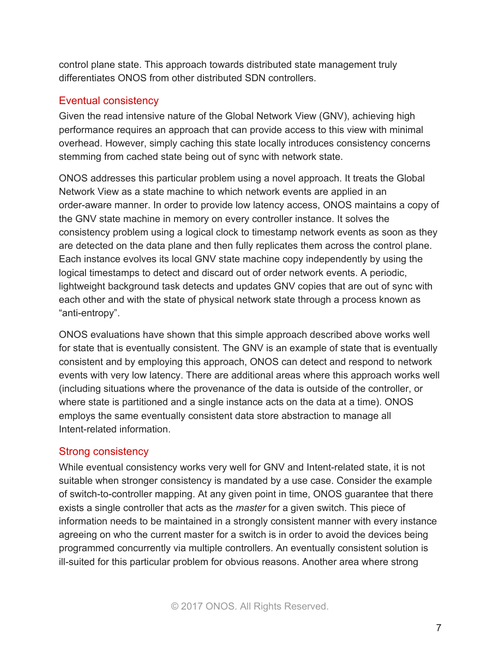control plane state. This approach towards distributed state management truly differentiates ONOS from other distributed SDN controllers.

## Eventual consistency

Given the read intensive nature of the Global Network View (GNV), achieving high performance requires an approach that can provide access to this view with minimal overhead. However, simply caching this state locally introduces consistency concerns stemming from cached state being out of sync with network state.

ONOS addresses this particular problem using a novel approach. It treats the Global Network View as a state machine to which network events are applied in an order-aware manner. In order to provide low latency access, ONOS maintains a copy of the GNV state machine in memory on every controller instance. It solves the consistency problem using a logical clock to timestamp network events as soon as they are detected on the data plane and then fully replicates them across the control plane. Each instance evolves its local GNV state machine copy independently by using the logical timestamps to detect and discard out of order network events. A periodic, lightweight background task detects and updates GNV copies that are out of sync with each other and with the state of physical network state through a process known as "anti-entropy".

ONOS evaluations have shown that this simple approach described above works well for state that is eventually consistent. The GNV is an example of state that is eventually consistent and by employing this approach, ONOS can detect and respond to network events with very low latency. There are additional areas where this approach works well (including situations where the provenance of the data is outside of the controller, or where state is partitioned and a single instance acts on the data at a time). ONOS employs the same eventually consistent data store abstraction to manage all Intent-related information.

# Strong consistency

While eventual consistency works very well for GNV and Intent-related state, it is not suitable when stronger consistency is mandated by a use case. Consider the example of switch-to-controller mapping. At any given point in time, ONOS guarantee that there exists a single controller that acts as the *master* for a given switch. This piece of information needs to be maintained in a strongly consistent manner with every instance agreeing on who the current master for a switch is in order to avoid the devices being programmed concurrently via multiple controllers. An eventually consistent solution is ill-suited for this particular problem for obvious reasons. Another area where strong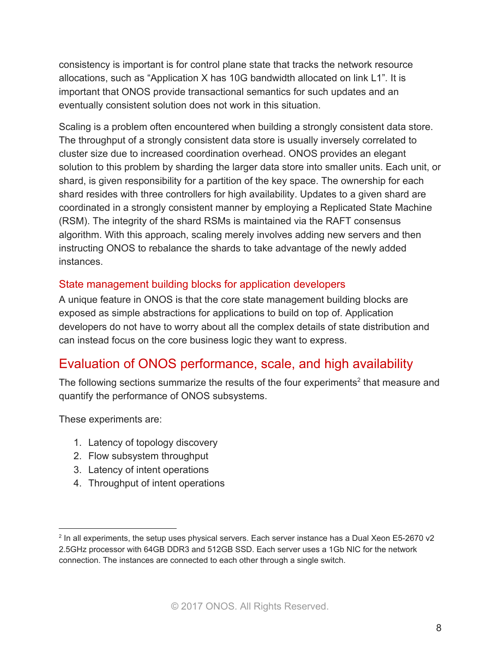consistency is important is for control plane state that tracks the network resource allocations, such as "Application X has 10G bandwidth allocated on link L1"*.* It is important that ONOS provide transactional semantics for such updates and an eventually consistent solution does not work in this situation.

Scaling is a problem often encountered when building a strongly consistent data store. The throughput of a strongly consistent data store is usually inversely correlated to cluster size due to increased coordination overhead. ONOS provides an elegant solution to this problem by sharding the larger data store into smaller units. Each unit, or shard, is given responsibility for a partition of the key space. The ownership for each shard resides with three controllers for high availability. Updates to a given shard are coordinated in a strongly consistent manner by employing a Replicated State Machine (RSM). The integrity of the shard RSMs is maintained via the RAFT consensus algorithm. With this approach, scaling merely involves adding new servers and then instructing ONOS to rebalance the shards to take advantage of the newly added instances.

#### State management building blocks for application developers

A unique feature in ONOS is that the core state management building blocks are exposed as simple abstractions for applications to build on top of. Application developers do not have to worry about all the complex details of state distribution and can instead focus on the core business logic they want to express.

# Evaluation of ONOS performance, scale, and high availability

The following sections summarize the results of the four experiments<sup>2</sup> that measure and quantify the performance of ONOS subsystems.

These experiments are:

- 1. Latency of topology discovery
- 2. Flow subsystem throughput
- 3. Latency of intent operations
- 4. Throughput of intent operations

<sup>2</sup> In all experiments, the setup uses physical servers. Each server instance has a Dual Xeon E5-2670 v2 2.5GHz processor with 64GB DDR3 and 512GB SSD. Each server uses a 1Gb NIC for the network connection. The instances are connected to each other through a single switch.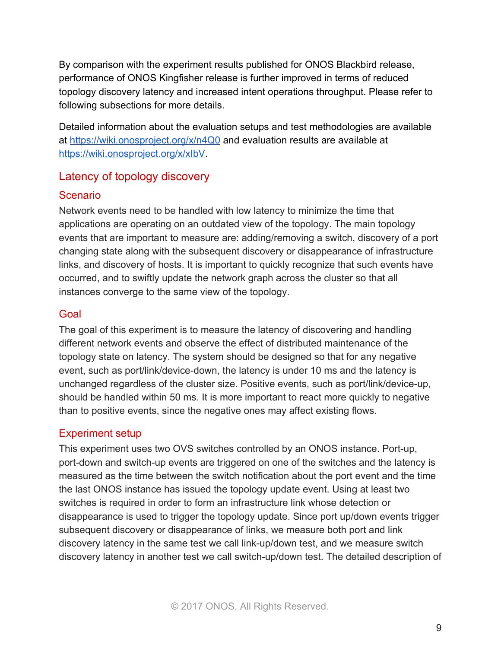By comparison with the experiment results published for ONOS Blackbird release, performance of ONOS Kingfisher release is further improved in terms of reduced topology discovery latency and increased intent operations throughput. Please refer to following subsections for more details.

Detailed information about the evaluation setups and test methodologies are available at<https://wiki.onosproject.org/x/n4Q0>and evaluation results are available at [https://wiki.onosproject.org/x/xIbV.](https://wiki.onosproject.org/x/xIbV)

## Latency of topology discovery

#### **Scenario**

Network events need to be handled with low latency to minimize the time that applications are operating on an outdated view of the topology. The main topology events that are important to measure are: adding/removing a switch, discovery of a port changing state along with the subsequent discovery or disappearance of infrastructure links, and discovery of hosts. It is important to quickly recognize that such events have occurred, and to swiftly update the network graph across the cluster so that all instances converge to the same view of the topology.

## Goal

The goal of this experiment is to measure the latency of discovering and handling different network events and observe the effect of distributed maintenance of the topology state on latency. The system should be designed so that for any negative event, such as port/link/device-down, the latency is under 10 ms and the latency is unchanged regardless of the cluster size. Positive events, such as port/link/device-up, should be handled within 50 ms. It is more important to react more quickly to negative than to positive events, since the negative ones may affect existing flows.

## Experiment setup

This experiment uses two OVS switches controlled by an ONOS instance. Port-up, port-down and switch-up events are triggered on one of the switches and the latency is measured as the time between the switch notification about the port event and the time the last ONOS instance has issued the topology update event. Using at least two switches is required in order to form an infrastructure link whose detection or disappearance is used to trigger the topology update. Since port up/down events trigger subsequent discovery or disappearance of links, we measure both port and link discovery latency in the same test we call link-up/down test, and we measure switch discovery latency in another test we call switch-up/down test. The detailed description of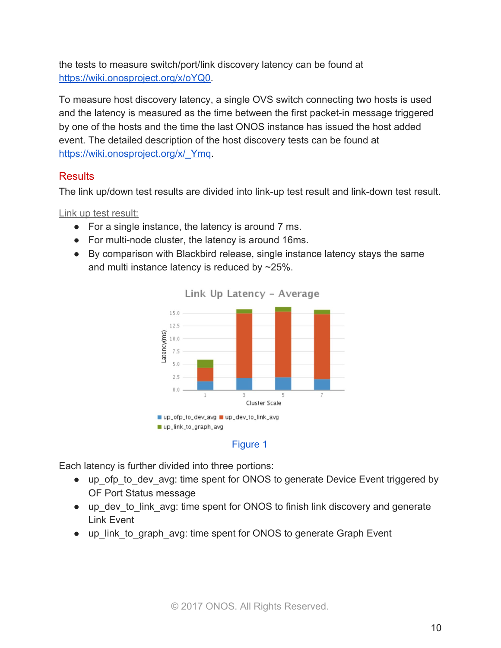the tests to measure switch/port/link discovery latency can be found at [https://wiki.onosproject.org/x/oYQ0.](https://wiki.onosproject.org/x/oYQ0)

To measure host discovery latency, a single OVS switch connecting two hosts is used and the latency is measured as the time between the first packet-in message triggered by one of the hosts and the time the last ONOS instance has issued the host added event. The detailed description of the host discovery tests can be found at [https://wiki.onosproject.org/x/\\_Ymq.](https://wiki.onosproject.org/x/_Ymq)

## **Results**

The link up/down test results are divided into link-up test result and link-down test result.

Link up test result:

- For a single instance, the latency is around 7 ms.
- For multi-node cluster, the latency is around 16ms.
- By comparison with Blackbird release, single instance latency stays the same and multi instance latency is reduced by ~25%.





#### Figure 1

Each latency is further divided into three portions:

- up ofp to dev avg: time spent for ONOS to generate Device Event triggered by OF Port Status message
- up dev to link avg: time spent for ONOS to finish link discovery and generate Link Event
- up link to graph avg: time spent for ONOS to generate Graph Event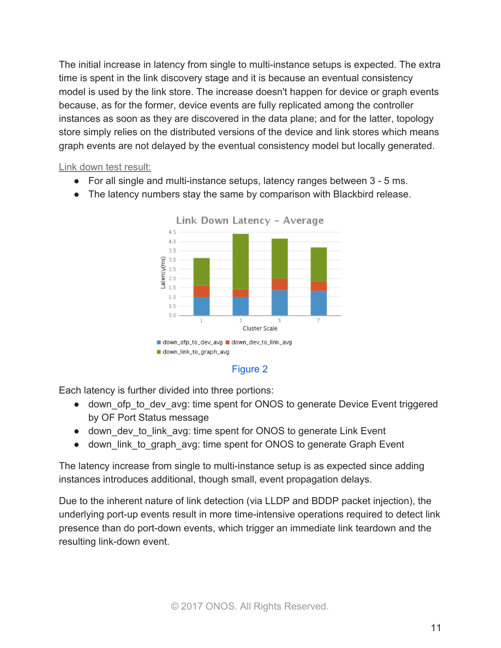The initial increase in latency from single to multi-instance setups is expected. The extra time is spent in the link discovery stage and it is because an eventual consistency model is used by the link store. The increase doesn't happen for device or graph events because, as for the former, device events are fully replicated among the controller instances as soon as they are discovered in the data plane; and for the latter, topology store simply relies on the distributed versions of the device and link stores which means graph events are not delayed by the eventual consistency model but locally generated.

Link down test result:

- For all single and multi-instance setups, latency ranges between 3 5 ms.
- The latency numbers stay the same by comparison with Blackbird release.





Each latency is further divided into three portions:

- down ofp to dev avg: time spent for ONOS to generate Device Event triggered by OF Port Status message
- down dev to link avg: time spent for ONOS to generate Link Event
- down link to graph avg: time spent for ONOS to generate Graph Event

The latency increase from single to multi-instance setup is as expected since adding instances introduces additional, though small, event propagation delays.

Due to the inherent nature of link detection (via LLDP and BDDP packet injection), the underlying port-up events result in more time-intensive operations required to detect link presence than do port-down events, which trigger an immediate link teardown and the resulting link-down event.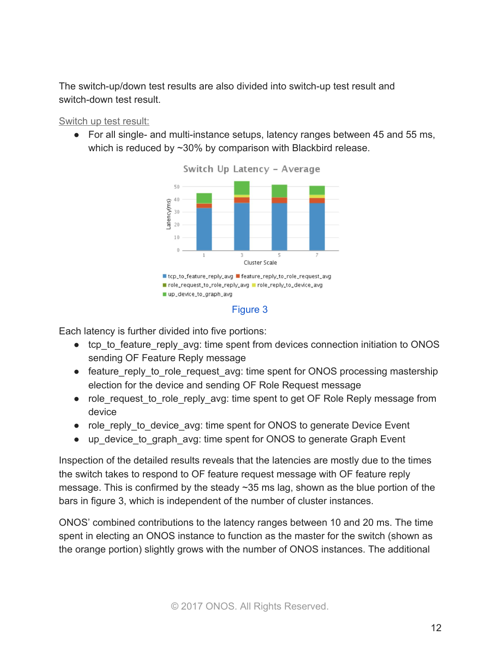The switch-up/down test results are also divided into switch-up test result and switch-down test result.

Switch up test result:

● For all single- and multi-instance setups, latency ranges between 45 and 55 ms, which is reduced by ~30% by comparison with Blackbird release.







Each latency is further divided into five portions:

- tcp to feature reply avg: time spent from devices connection initiation to ONOS sending OF Feature Reply message
- feature reply to role request avg: time spent for ONOS processing mastership election for the device and sending OF Role Request message
- role request to role reply avg: time spent to get OF Role Reply message from device
- role reply to device avg: time spent for ONOS to generate Device Event
- up device to graph avg: time spent for ONOS to generate Graph Event

Inspection of the detailed results reveals that the latencies are mostly due to the times the switch takes to respond to OF feature request message with OF feature reply message. This is confirmed by the steady ~35 ms lag, shown as the blue portion of the bars in figure 3, which is independent of the number of cluster instances.

ONOS' combined contributions to the latency ranges between 10 and 20 ms. The time spent in electing an ONOS instance to function as the master for the switch (shown as the orange portion) slightly grows with the number of ONOS instances. The additional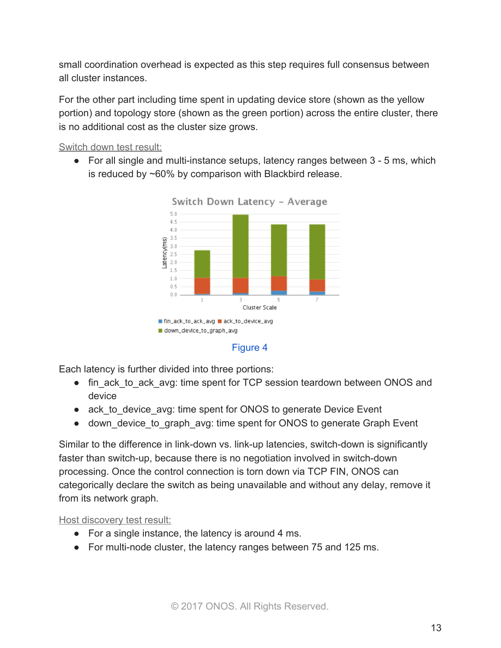small coordination overhead is expected as this step requires full consensus between all cluster instances.

For the other part including time spent in updating device store (shown as the yellow portion) and topology store (shown as the green portion) across the entire cluster, there is no additional cost as the cluster size grows.

Switch down test result:

● For all single and multi-instance setups, latency ranges between 3 - 5 ms, which is reduced by ~60% by comparison with Blackbird release.





Each latency is further divided into three portions:

- fin\_ack\_to\_ack\_avg: time spent for TCP session teardown between ONOS and device
- ack to device avg: time spent for ONOS to generate Device Event
- down\_device\_to\_graph\_avg: time spent for ONOS to generate Graph Event

Similar to the difference in link-down vs. link-up latencies, switch-down is significantly faster than switch-up, because there is no negotiation involved in switch-down processing. Once the control connection is torn down via TCP FIN, ONOS can categorically declare the switch as being unavailable and without any delay, remove it from its network graph.

Host discovery test result:

- For a single instance, the latency is around 4 ms.
- For multi-node cluster, the latency ranges between 75 and 125 ms.

Figure 4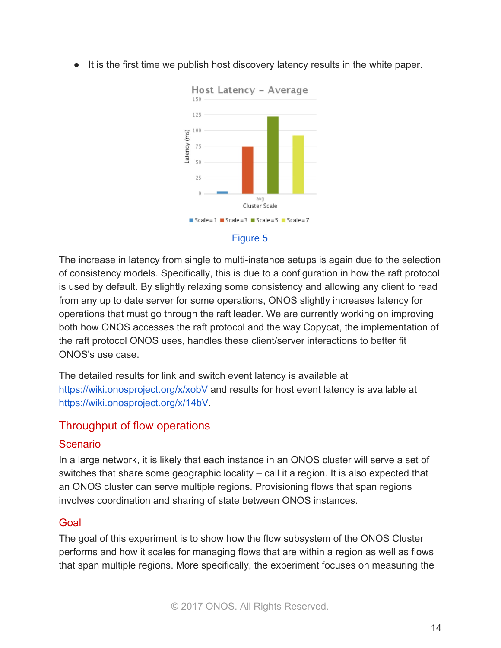● It is the first time we publish host discovery latency results in the white paper.



#### Figure 5

The increase in latency from single to multi-instance setups is again due to the selection of consistency models. Specifically, this is due to a configuration in how the raft protocol is used by default. By slightly relaxing some consistency and allowing any client to read from any up to date server for some operations, ONOS slightly increases latency for operations that must go through the raft leader. We are currently working on improving both how ONOS accesses the raft protocol and the way Copycat, the implementation of the raft protocol ONOS uses, handles these client/server interactions to better fit ONOS's use case.

The detailed results for link and switch event latency is available at <https://wiki.onosproject.org/x/xobV> and results for host event latency is available at [https://wiki.onosproject.org/x/14bV.](https://wiki.onosproject.org/x/14bV)

# Throughput of flow operations

## Scenario

In a large network, it is likely that each instance in an ONOS cluster will serve a set of switches that share some geographic locality – call it a region. It is also expected that an ONOS cluster can serve multiple regions. Provisioning flows that span regions involves coordination and sharing of state between ONOS instances.

## Goal

The goal of this experiment is to show how the flow subsystem of the ONOS Cluster performs and how it scales for managing flows that are within a region as well as flows that span multiple regions. More specifically, the experiment focuses on measuring the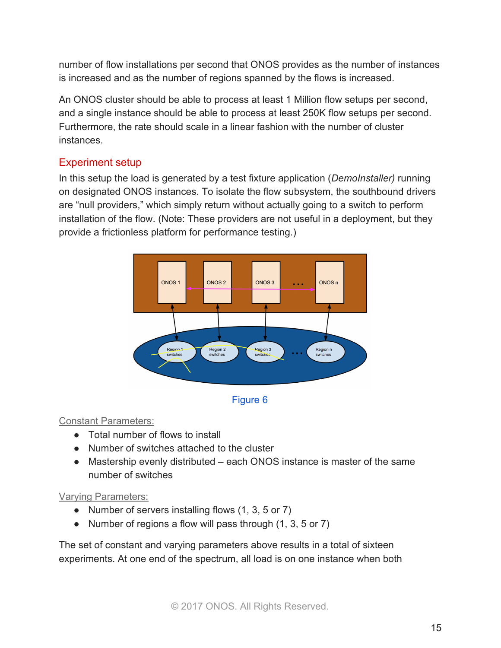number of flow installations per second that ONOS provides as the number of instances is increased and as the number of regions spanned by the flows is increased.

An ONOS cluster should be able to process at least 1 Million flow setups per second, and a single instance should be able to process at least 250K flow setups per second. Furthermore, the rate should scale in a linear fashion with the number of cluster instances.

# Experiment setup

In this setup the load is generated by a test fixture application (*DemoInstaller)* running on designated ONOS instances. To isolate the flow subsystem, the southbound drivers are "null providers," which simply return without actually going to a switch to perform installation of the flow. (Note: These providers are not useful in a deployment, but they provide a frictionless platform for performance testing.)





#### Constant Parameters:

- Total number of flows to install
- Number of switches attached to the cluster
- Mastership evenly distributed each ONOS instance is master of the same number of switches

#### Varying Parameters:

- Number of servers installing flows (1, 3, 5 or 7)
- Number of regions a flow will pass through (1, 3, 5 or 7)

The set of constant and varying parameters above results in a total of sixteen experiments. At one end of the spectrum, all load is on one instance when both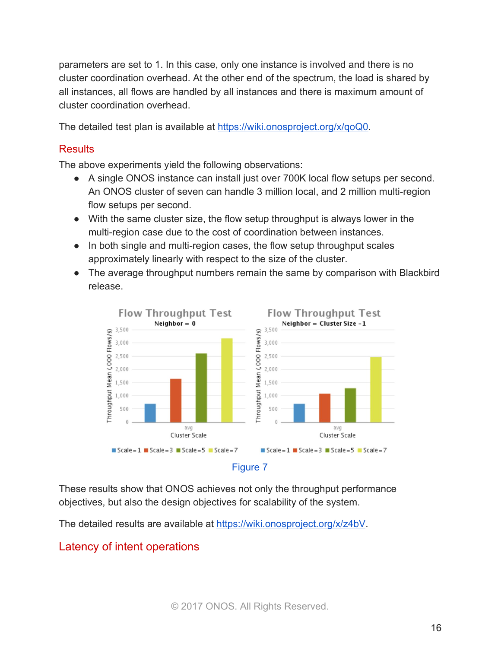parameters are set to 1. In this case, only one instance is involved and there is no cluster coordination overhead. At the other end of the spectrum, the load is shared by all instances, all flows are handled by all instances and there is maximum amount of cluster coordination overhead.

The detailed test plan is available at [https://wiki.onosproject.org/x/qoQ0.](https://wiki.onosproject.org/x/qoQ0)

## **Results**

The above experiments yield the following observations:

- A single ONOS instance can install just over 700K local flow setups per second. An ONOS cluster of seven can handle 3 million local, and 2 million multi-region flow setups per second.
- With the same cluster size, the flow setup throughput is always lower in the multi-region case due to the cost of coordination between instances.
- In both single and multi-region cases, the flow setup throughput scales approximately linearly with respect to the size of the cluster.
- The average throughput numbers remain the same by comparison with Blackbird release.



These results show that ONOS achieves not only the throughput performance objectives, but also the design objectives for scalability of the system.

The detailed results are available at [https://wiki.onosproject.org/x/z4bV.](https://wiki.onosproject.org/x/z4bV)

# Latency of intent operations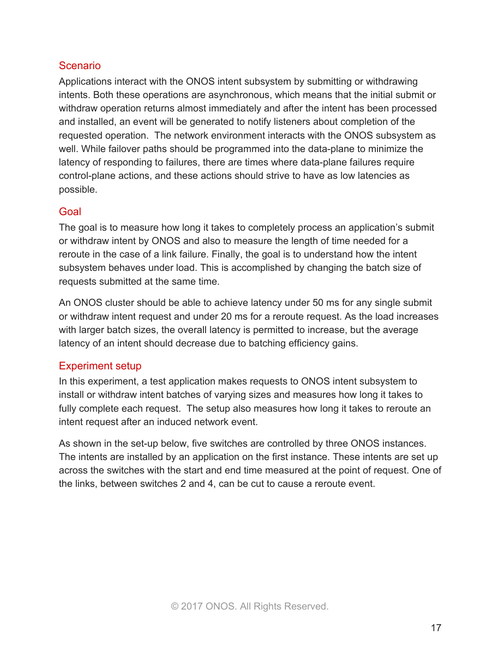#### **Scenario**

Applications interact with the ONOS intent subsystem by submitting or withdrawing intents. Both these operations are asynchronous, which means that the initial submit or withdraw operation returns almost immediately and after the intent has been processed and installed, an event will be generated to notify listeners about completion of the requested operation. The network environment interacts with the ONOS subsystem as well. While failover paths should be programmed into the data-plane to minimize the latency of responding to failures, there are times where data-plane failures require control-plane actions, and these actions should strive to have as low latencies as possible.

#### Goal

The goal is to measure how long it takes to completely process an application's submit or withdraw intent by ONOS and also to measure the length of time needed for a reroute in the case of a link failure. Finally, the goal is to understand how the intent subsystem behaves under load. This is accomplished by changing the batch size of requests submitted at the same time.

An ONOS cluster should be able to achieve latency under 50 ms for any single submit or withdraw intent request and under 20 ms for a reroute request. As the load increases with larger batch sizes, the overall latency is permitted to increase, but the average latency of an intent should decrease due to batching efficiency gains.

#### Experiment setup

In this experiment, a test application makes requests to ONOS intent subsystem to install or withdraw intent batches of varying sizes and measures how long it takes to fully complete each request. The setup also measures how long it takes to reroute an intent request after an induced network event.

As shown in the set-up below, five switches are controlled by three ONOS instances. The intents are installed by an application on the first instance. These intents are set up across the switches with the start and end time measured at the point of request. One of the links, between switches 2 and 4, can be cut to cause a reroute event.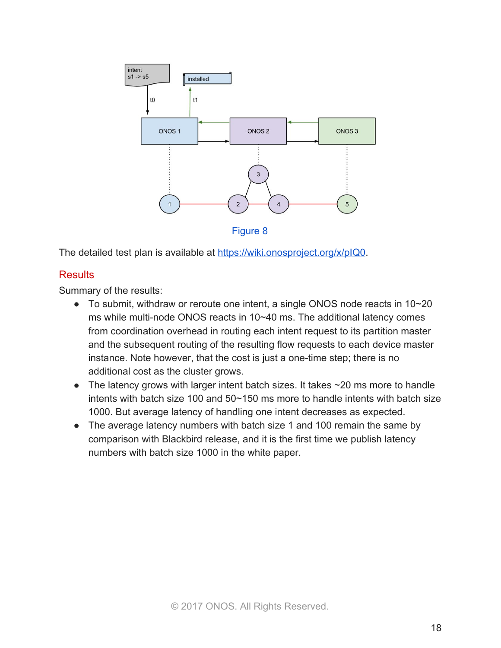

Figure 8

The detailed test plan is available at [https://wiki.onosproject.org/x/pIQ0.](https://wiki.onosproject.org/x/pIQ0)

#### **Results**

Summary of the results:

- To submit, withdraw or reroute one intent, a single ONOS node reacts in  $10~20$ ms while multi-node ONOS reacts in 10~40 ms. The additional latency comes from coordination overhead in routing each intent request to its partition master and the subsequent routing of the resulting flow requests to each device master instance. Note however, that the cost is just a one-time step; there is no additional cost as the cluster grows.
- The latency grows with larger intent batch sizes. It takes  $\sim$  20 ms more to handle intents with batch size 100 and 50~150 ms more to handle intents with batch size 1000. But average latency of handling one intent decreases as expected.
- The average latency numbers with batch size 1 and 100 remain the same by comparison with Blackbird release, and it is the first time we publish latency numbers with batch size 1000 in the white paper.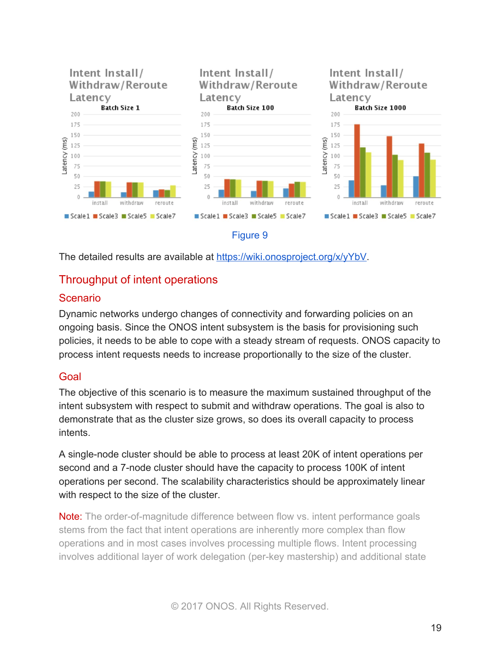

The detailed results are available at <https://wiki.onosproject.org/x/yYbV>.

# Throughput of intent operations

#### Scenario

Dynamic networks undergo changes of connectivity and forwarding policies on an ongoing basis. Since the ONOS intent subsystem is the basis for provisioning such policies, it needs to be able to cope with a steady stream of requests. ONOS capacity to process intent requests needs to increase proportionally to the size of the cluster.

#### Goal

The objective of this scenario is to measure the maximum sustained throughput of the intent subsystem with respect to submit and withdraw operations. The goal is also to demonstrate that as the cluster size grows, so does its overall capacity to process intents.

A single-node cluster should be able to process at least 20K of intent operations per second and a 7-node cluster should have the capacity to process 100K of intent operations per second. The scalability characteristics should be approximately linear with respect to the size of the cluster.

Note: The order-of-magnitude difference between flow vs. intent performance goals stems from the fact that intent operations are inherently more complex than flow operations and in most cases involves processing multiple flows. Intent processing involves additional layer of work delegation (per-key mastership) and additional state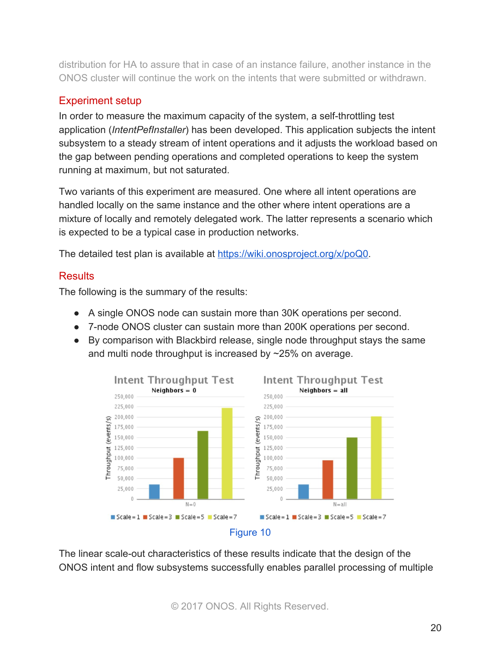distribution for HA to assure that in case of an instance failure, another instance in the ONOS cluster will continue the work on the intents that were submitted or withdrawn.

# Experiment setup

In order to measure the maximum capacity of the system, a self-throttling test application (*IntentPefInstaller*) has been developed. This application subjects the intent subsystem to a steady stream of intent operations and it adjusts the workload based on the gap between pending operations and completed operations to keep the system running at maximum, but not saturated.

Two variants of this experiment are measured. One where all intent operations are handled locally on the same instance and the other where intent operations are a mixture of locally and remotely delegated work. The latter represents a scenario which is expected to be a typical case in production networks.

The detailed test plan is available at [https://wiki.onosproject.org/x/poQ0.](https://wiki.onosproject.org/x/poQ0)

# **Results**

The following is the summary of the results:

- A single ONOS node can sustain more than 30K operations per second.
- 7-node ONOS cluster can sustain more than 200K operations per second.
- By comparison with Blackbird release, single node throughput stays the same and multi node throughput is increased by ~25% on average.



The linear scale-out characteristics of these results indicate that the design of the ONOS intent and flow subsystems successfully enables parallel processing of multiple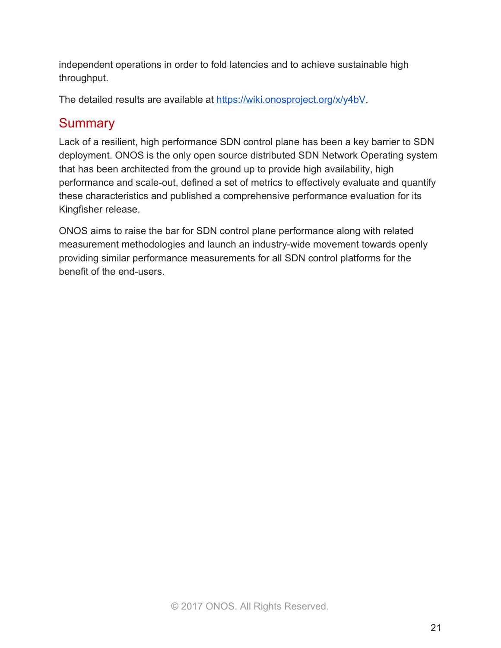independent operations in order to fold latencies and to achieve sustainable high throughput.

The detailed results are available at [https://wiki.onosproject.org/x/y4bV.](https://wiki.onosproject.org/x/y4bV)

# **Summary**

Lack of a resilient, high performance SDN control plane has been a key barrier to SDN deployment. ONOS is the only open source distributed SDN Network Operating system that has been architected from the ground up to provide high availability, high performance and scale-out, defined a set of metrics to effectively evaluate and quantify these characteristics and published a comprehensive performance evaluation for its Kingfisher release.

ONOS aims to raise the bar for SDN control plane performance along with related measurement methodologies and launch an industry-wide movement towards openly providing similar performance measurements for all SDN control platforms for the benefit of the end-users.